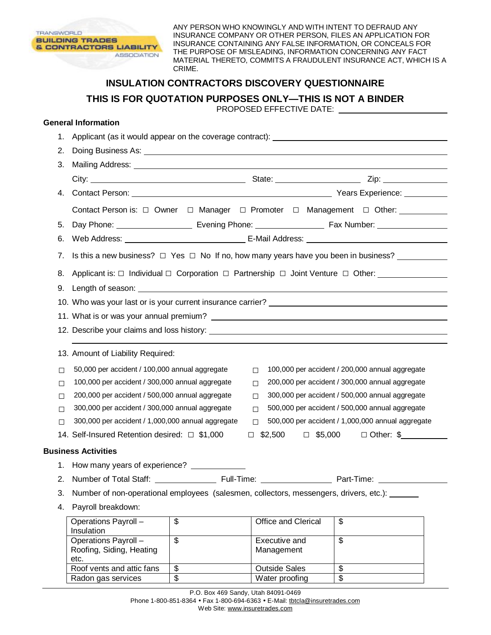

ANY PERSON WHO KNOWINGLY AND WITH INTENT TO DEFRAUD ANY INSURANCE COMPANY OR OTHER PERSON, FILES AN APPLICATION FOR INSURANCE CONTAINING ANY FALSE INFORMATION, OR CONCEALS FOR THE PURPOSE OF MISLEADING, INFORMATION CONCERNING ANY FACT MATERIAL THERETO, COMMITS A FRAUDULENT INSURANCE ACT, WHICH IS A CRIME.

## **INSULATION CONTRACTORS DISCOVERY QUESTIONNAIRE THIS IS FOR QUOTATION PURPOSES ONLY—THIS IS NOT A BINDER**

PROPOSED EFFECTIVE DATE:

## **General Information**

| 1.     |                                                                                                                                                                                                                                      |                         |                             | Applicant (as it would appear on the coverage contract): <u>example and a set of the set of the set of the set of the set of the set of the set of the set of the set of the set of the set of the set of the set of the set of </u> |  |  |  |
|--------|--------------------------------------------------------------------------------------------------------------------------------------------------------------------------------------------------------------------------------------|-------------------------|-----------------------------|--------------------------------------------------------------------------------------------------------------------------------------------------------------------------------------------------------------------------------------|--|--|--|
| 2.     |                                                                                                                                                                                                                                      |                         |                             |                                                                                                                                                                                                                                      |  |  |  |
| 3.     | Mailing Address: <u>New York: New York: New York: New York: New York: New York: New York: New York: New York: New York: New York: New York: New York: New York: New York: New York: New York: New York: New York: New York: New </u> |                         |                             |                                                                                                                                                                                                                                      |  |  |  |
|        |                                                                                                                                                                                                                                      |                         |                             |                                                                                                                                                                                                                                      |  |  |  |
| 4.     |                                                                                                                                                                                                                                      |                         |                             |                                                                                                                                                                                                                                      |  |  |  |
|        |                                                                                                                                                                                                                                      |                         |                             | Contact Person is: $\Box$ Owner $\Box$ Manager $\Box$ Promoter $\Box$ Management $\Box$ Other:                                                                                                                                       |  |  |  |
| 5.     |                                                                                                                                                                                                                                      |                         |                             |                                                                                                                                                                                                                                      |  |  |  |
| 6.     |                                                                                                                                                                                                                                      |                         |                             |                                                                                                                                                                                                                                      |  |  |  |
| 7.     | Is this a new business? $\Box$ Yes $\Box$ No If no, how many years have you been in business?                                                                                                                                        |                         |                             |                                                                                                                                                                                                                                      |  |  |  |
| 8.     | Applicant is: $\Box$ Individual $\Box$ Corporation $\Box$ Partnership $\Box$ Joint Venture $\Box$ Other:                                                                                                                             |                         |                             |                                                                                                                                                                                                                                      |  |  |  |
|        |                                                                                                                                                                                                                                      |                         |                             |                                                                                                                                                                                                                                      |  |  |  |
|        |                                                                                                                                                                                                                                      |                         |                             |                                                                                                                                                                                                                                      |  |  |  |
|        |                                                                                                                                                                                                                                      |                         |                             |                                                                                                                                                                                                                                      |  |  |  |
|        |                                                                                                                                                                                                                                      |                         |                             |                                                                                                                                                                                                                                      |  |  |  |
|        |                                                                                                                                                                                                                                      |                         |                             |                                                                                                                                                                                                                                      |  |  |  |
|        | 13. Amount of Liability Required:                                                                                                                                                                                                    |                         |                             |                                                                                                                                                                                                                                      |  |  |  |
| $\Box$ | 50,000 per accident / 100,000 annual aggregate<br>100,000 per accident / 200,000 annual aggregate<br>$\Box$                                                                                                                          |                         |                             |                                                                                                                                                                                                                                      |  |  |  |
| □      | 100,000 per accident / 300,000 annual aggregate<br>200,000 per accident / 300,000 annual aggregate<br>$\Box$                                                                                                                         |                         |                             |                                                                                                                                                                                                                                      |  |  |  |
| П      | 200,000 per accident / 500,000 annual aggregate<br>300,000 per accident / 500,000 annual aggregate<br>П                                                                                                                              |                         |                             |                                                                                                                                                                                                                                      |  |  |  |
| □      | 300,000 per accident / 300,000 annual aggregate<br>500,000 per accident / 500,000 annual aggregate<br>П                                                                                                                              |                         |                             |                                                                                                                                                                                                                                      |  |  |  |
| П      | 500,000 per accident / 1,000,000 annual aggregate<br>300,000 per accident / 1,000,000 annual aggregate<br>П                                                                                                                          |                         |                             |                                                                                                                                                                                                                                      |  |  |  |
|        | 14. Self-Insured Retention desired: □ \$1,000                                                                                                                                                                                        |                         | \$2,500<br>□                | $\Box$ \$5,000 $\Box$ Other: \$                                                                                                                                                                                                      |  |  |  |
|        | <b>Business Activities</b>                                                                                                                                                                                                           |                         |                             |                                                                                                                                                                                                                                      |  |  |  |
|        | 1. How many years of experience? ____________                                                                                                                                                                                        |                         |                             |                                                                                                                                                                                                                                      |  |  |  |
|        |                                                                                                                                                                                                                                      |                         |                             |                                                                                                                                                                                                                                      |  |  |  |
| 3.     | Number of non-operational employees (salesmen, collectors, messengers, drivers, etc.):                                                                                                                                               |                         |                             |                                                                                                                                                                                                                                      |  |  |  |
| 4.     | Payroll breakdown:                                                                                                                                                                                                                   |                         |                             |                                                                                                                                                                                                                                      |  |  |  |
|        | Operations Payroll -<br>Insulation                                                                                                                                                                                                   | \$                      | Office and Clerical         | \$                                                                                                                                                                                                                                   |  |  |  |
|        | Operations Payroll -<br>Roofing, Siding, Heating<br>etc.                                                                                                                                                                             | $\overline{\mathbf{S}}$ | Executive and<br>Management | \$                                                                                                                                                                                                                                   |  |  |  |
|        | Roof vents and attic fans                                                                                                                                                                                                            | \$                      | <b>Outside Sales</b>        | \$                                                                                                                                                                                                                                   |  |  |  |
|        | Radon gas services                                                                                                                                                                                                                   | \$                      | Water proofing              | $\overline{\mathcal{E}}$                                                                                                                                                                                                             |  |  |  |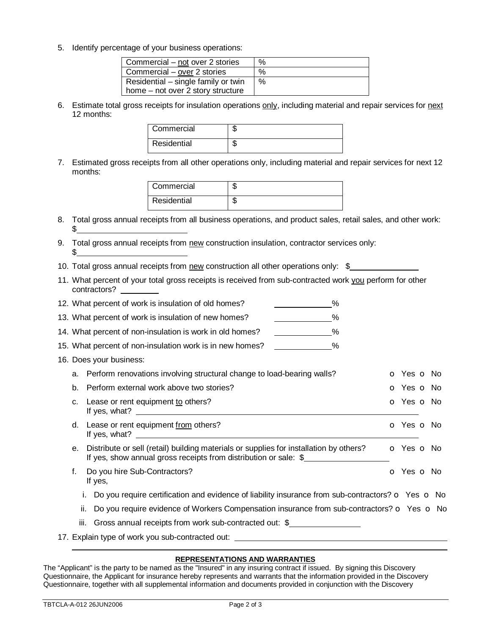5. Identify percentage of your business operations:

| Commercial – not over 2 stories           | % |
|-------------------------------------------|---|
| Commercial - over 2 stories               | % |
| Residential – single family or twin       | % |
| $\vert$ home – not over 2 story structure |   |

6. Estimate total gross receipts for insulation operations only, including material and repair services for next 12 months:

| Commercial  | ٠D |
|-------------|----|
| Residential | ۹E |

7. Estimated gross receipts from all other operations only, including material and repair services for next 12 months:

| Commercial  | ٩D |
|-------------|----|
| Residential | ٩D |

- 8. Total gross annual receipts from all business operations, and product sales, retail sales, and other work: \$
- 9. Total gross annual receipts from new construction insulation, contractor services only: \$
- 10. Total gross annual receipts from new construction all other operations only: \$
- 11. What percent of your total gross receipts is received from sub-contracted work you perform for other contractors?

|      | 12. What percent of work is insulation of old homes?<br>%                                                                                                  |                          |  |
|------|------------------------------------------------------------------------------------------------------------------------------------------------------------|--------------------------|--|
|      | 13. What percent of work is insulation of new homes?<br>$\%$                                                                                               |                          |  |
|      | 14. What percent of non-insulation is work in old homes?<br>%                                                                                              |                          |  |
|      | 15. What percent of non-insulation work is in new homes?<br>$\%$                                                                                           |                          |  |
|      | 16. Does your business:                                                                                                                                    |                          |  |
|      | a. Perform renovations involving structural change to load-bearing walls?                                                                                  | o Yes o No               |  |
| b.   | Perform external work above two stories?                                                                                                                   | <b>o</b> Yes <b>o</b> No |  |
| C.   | Lease or rent equipment to others?<br>If yes, what?                                                                                                        | <b>o</b> Yes <b>o</b> No |  |
|      | d. Lease or rent equipment from others?<br>If yes, what? $\qquad \qquad$                                                                                   | <b>o</b> Yes <b>o</b> No |  |
| е.   | Distribute or sell (retail) building materials or supplies for installation by others?<br>If yes, show annual gross receipts from distribution or sale: \$ | O Yes O No               |  |
| f.   | Do you hire Sub-Contractors?<br>If yes,                                                                                                                    | <b>o</b> Yes <b>o</b> No |  |
|      | Do you require certification and evidence of liability insurance from sub-contractors? $\bullet$ Yes $\circ$ No                                            |                          |  |
| ii.  | Do you require evidence of Workers Compensation insurance from sub-contractors? $\bullet$ Yes $\bullet$ No                                                 |                          |  |
| iii. | Gross annual receipts from work sub-contracted out: \$                                                                                                     |                          |  |

17. Explain type of work you sub-contracted out: 

## **REPRESENTATIONS AND WARRANTIES**

The "Applicant" is the party to be named as the "Insured" in any insuring contract if issued. By signing this Discovery Questionnaire, the Applicant for insurance hereby represents and warrants that the information provided in the Discovery Questionnaire, together with all supplemental information and documents provided in conjunction with the Discovery